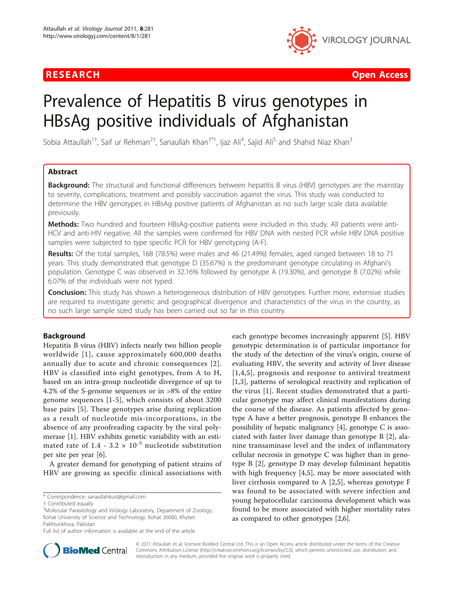

**RESEARCH Open Access Contract Contract Contract Contract Contract Contract Contract Contract Contract Contract Contract Contract Contract Contract Contract Contract Contract Contract Contract Contract Contract Contract** 

# Prevalence of Hepatitis B virus genotypes in HBsAg positive individuals of Afghanistan

Sobia Attaullah<sup>1†</sup>, Saif ur Rehman<sup>2†</sup>, Sanaullah Khan<sup>3\*†</sup>, Ijaz Ali<sup>4</sup>, Sajid Ali<sup>5</sup> and Shahid Niaz Khan<sup>3</sup>

# Abstract

**Background:** The structural and functional differences between hepatitis B virus (HBV) genotypes are the mainstay to severity, complications, treatment and possibly vaccination against the virus. This study was conducted to determine the HBV genotypes in HBsAg positive patients of Afghanistan as no such large scale data available previously.

Methods: Two hundred and fourteen HBsAg-positive patients were included in this study. All patients were anti-HCV and anti-HIV negative. All the samples were confirmed for HBV DNA with nested PCR while HBV DNA positive samples were subjected to type specific PCR for HBV genotyping (A-F).

Results: Of the total samples, 168 (78.5%) were males and 46 (21.49%) females, aged ranged between 18 to 71 years. This study demonstrated that genotype D (35.67%) is the predominant genotype circulating in Afghani's population. Genotype C was observed in 32.16% followed by genotype A (19.30%), and genotype B (7.02%) while 6.07% of the individuals were not typed.

**Conclusion:** This study has shown a heterogeneous distribution of HBV genotypes. Further more, extensive studies are required to investigate genetic and geographical divergence and characteristics of the virus in the country, as no such large sample sized study has been carried out so far in this country.

## Background

Hepatitis B virus (HBV) infects nearly two billion people worldwide [[1](#page-3-0)], cause approximately 600,000 deaths annually due to acute and chronic consequences [[2\]](#page-3-0). HBV is classified into eight genotypes, from A to H, based on an intra-group nucleotide divergence of up to 4.2% of the S-genome sequences or in >8% of the entire genome sequences [[1-5\]](#page-3-0), which consists of about 3200 base pairs [[5](#page-3-0)]. These genotypes arise during replication as a result of nucleotide mis-incorporations, in the absence of any proofreading capacity by the viral polymerase [[1\]](#page-3-0). HBV exhibits genetic variability with an estimated rate of 1.4 - 3.2  $\times$  10<sup>-5</sup> nucleotide substitution per site per year [[6\]](#page-3-0).

A greater demand for genotyping of patient strains of HBV are growing as specific clinical associations with

each genotype becomes increasingly apparent [\[5](#page-3-0)]. HBV genotypic determination is of particular importance for the study of the detection of the virus's origin, course of evaluating HBV, the severity and activity of liver disease [[1](#page-3-0),[4,5\]](#page-3-0), prognosis and response to antiviral treatment [[1,3](#page-3-0)], patterns of serological reactivity and replication of the virus [\[1](#page-3-0)]. Recent studies demonstrated that a particular genotype may affect clinical manifestations during the course of the disease. As patients affected by genotype A have a better prognosis, genotype B enhances the possibility of hepatic malignancy [\[4\]](#page-3-0), genotype C is associated with faster liver damage than genotype B [[2\]](#page-3-0), alanine transaminase level and the index of inflammatory cellular necrosis in genotype C was higher than in genotype B [\[2](#page-3-0)], genotype D may develop fulminant hepatitis with high frequency [\[4](#page-3-0),[5\]](#page-3-0), may be more associated with liver cirrhosis compared to A [[2,5](#page-3-0)], whereas genotype F was found to be associated with severe infection and young hepatocellular carcinoma development which was found to be more associated with higher mortality rates as compared to other genotypes [[2,6\]](#page-3-0).



© 2011 Attaullah et al; licensee BioMed Central Ltd. This is an Open Access article distributed under the terms of the Creative Commons Attribution License [\(http://creativecommons.org/licenses/by/2.0](http://creativecommons.org/licenses/by/2.0)), which permits unrestricted use, distribution, and reproduction in any medium, provided the original work is properly cited.

<sup>\*</sup> Correspondence: [sanaullahkust@gmail.com](mailto:sanaullahkust@gmail.com)

<sup>†</sup> Contributed equally <sup>3</sup>

<sup>&</sup>lt;sup>3</sup>Molecular Parasitology and Virology Laboratory, Department of Zoology, Kohat University of Science and Technology, Kohat 26000, Khyber Pakhtunkhwa, Pakistan

Full list of author information is available at the end of the article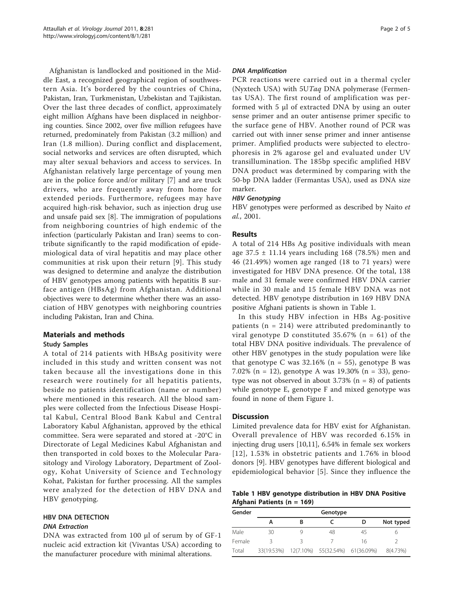Afghanistan is landlocked and positioned in the Middle East, a recognized geographical region of southwestern Asia. It's bordered by the countries of China, Pakistan, Iran, Turkmenistan, Uzbekistan and Tajikistan. Over the last three decades of conflict, approximately eight million Afghans have been displaced in neighboring counties. Since 2002, over five million refugees have returned, predominately from Pakistan (3.2 million) and Iran (1.8 million). During conflict and displacement, social networks and services are often disrupted, which may alter sexual behaviors and access to services. In Afghanistan relatively large percentage of young men are in the police force and/or military [[7\]](#page-3-0) and are truck drivers, who are frequently away from home for extended periods. Furthermore, refugees may have acquired high-risk behavior, such as injection drug use and unsafe paid sex [[8](#page-3-0)]. The immigration of populations from neighboring countries of high endemic of the infection (particularly Pakistan and Iran) seems to contribute significantly to the rapid modification of epidemiological data of viral hepatitis and may place other communities at risk upon their return [[9\]](#page-3-0). This study was designed to determine and analyze the distribution of HBV genotypes among patients with hepatitis B surface antigen (HBsAg) from Afghanistan. Additional objectives were to determine whether there was an association of HBV genotypes with neighboring countries including Pakistan, Iran and China.

# Materials and methods

## Study Samples

A total of 214 patients with HBsAg positivity were included in this study and written consent was not taken because all the investigations done in this research were routinely for all hepatitis patients, beside no patients identification (name or number) where mentioned in this research. All the blood samples were collected from the Infectious Disease Hospital Kabul, Central Blood Bank Kabul and Central Laboratory Kabul Afghanistan, approved by the ethical committee. Sera were separated and stored at -20°C in Directorate of Legal Medicines Kabul Afghanistan and then transported in cold boxes to the Molecular Parasitology and Virology Laboratory, Department of Zoology, Kohat University of Science and Technology Kohat, Pakistan for further processing. All the samples were analyzed for the detection of HBV DNA and HBV genotyping.

# HBV DNA DETECTION

DNA Extraction DNA was extracted from 100 μl of serum by of GF-1 nucleic acid extraction kit (Vivantas USA) according to the manufacturer procedure with minimal alterations.

PCR reactions were carried out in a thermal cycler (Nyxtech USA) with 5UTaq DNA polymerase (Fermentas USA). The first round of amplification was performed with 5 μl of extracted DNA by using an outer sense primer and an outer antisense primer specific to the surface gene of HBV. Another round of PCR was carried out with inner sense primer and inner antisense primer. Amplified products were subjected to electrophoresis in 2% agarose gel and evaluated under UV transillumination. The 185bp specific amplified HBV DNA product was determined by comparing with the 50-bp DNA ladder (Fermantas USA), used as DNA size marker.

HBV genotypes were performed as described by Naito et al., 2001.

## Results

A total of 214 HBs Ag positive individuals with mean age  $37.5 \pm 11.14$  years including 168 (78.5%) men and 46 (21.49%) women age ranged (18 to 71 years) were investigated for HBV DNA presence. Of the total, 138 male and 31 female were confirmed HBV DNA carrier while in 30 male and 15 female HBV DNA was not detected. HBV genotype distribution in 169 HBV DNA positive Afghani patients is shown in Table 1.

In this study HBV infection in HBs Ag-positive patients ( $n = 214$ ) were attributed predominantly to viral genotype D constituted  $35.67\%$  (n = 61) of the total HBV DNA positive individuals. The prevalence of other HBV genotypes in the study population were like that genotype C was  $32.16\%$  (n = 55), genotype B was 7.02% (n = 12), genotype A was 19.30% (n = 33), genotype was not observed in about 3.73% ( $n = 8$ ) of patients while genotype E, genotype F and mixed genotype was found in none of them Figure [1.](#page-2-0)

## **Discussion**

Limited prevalence data for HBV exist for Afghanistan. Overall prevalence of HBV was recorded 6.15% in injecting drug users [\[10,11\]](#page-3-0), 6.54% in female sex workers [[12\]](#page-3-0), 1.53% in obstetric patients and 1.76% in blood donors [[9\]](#page-3-0). HBV genotypes have different biological and epidemiological behavior [[5\]](#page-3-0). Since they influence the

Table 1 HBV genotype distribution in HBV DNA Positive Afghani Patients (n = 169)

| Gender | Genotype   |   |                                 |    |           |
|--------|------------|---|---------------------------------|----|-----------|
|        | А          | В |                                 | D  | Not typed |
| Male   | 30         |   | 48                              | 45 |           |
| Female |            |   |                                 | 16 |           |
| Total  | 33(19.53%) |   | 12(7.10%) 55(32.54%) 61(36.09%) |    | 8(4.73%)  |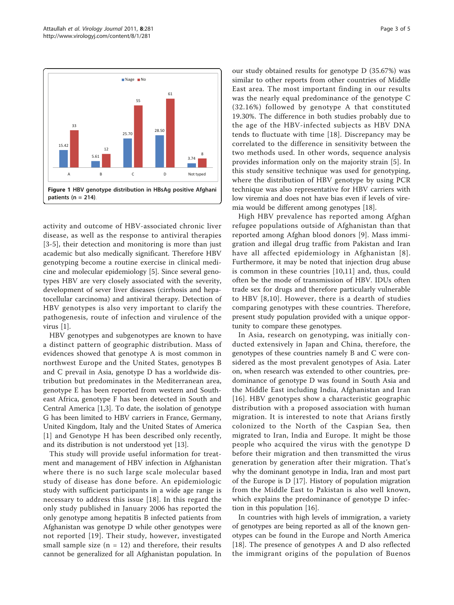<span id="page-2-0"></span>

activity and outcome of HBV-associated chronic liver disease, as well as the response to antiviral therapies [[3](#page-3-0)-[5\]](#page-3-0), their detection and monitoring is more than just academic but also medically significant. Therefore HBV genotyping become a routine exercise in clinical medicine and molecular epidemiology [[5](#page-3-0)]. Since several genotypes HBV are very closely associated with the severity, development of sever liver diseases (cirrhosis and hepatocellular carcinoma) and antiviral therapy. Detection of HBV genotypes is also very important to clarify the pathogenesis, route of infection and virulence of the virus [[1\]](#page-3-0).

HBV genotypes and subgenotypes are known to have a distinct pattern of geographic distribution. Mass of evidences showed that genotype A is most common in northwest Europe and the United States, genotypes B and C prevail in Asia, genotype D has a worldwide distribution but predominates in the Mediterranean area, genotype E has been reported from western and Southeast Africa, genotype F has been detected in South and Central America [[1,3\]](#page-3-0). To date, the isolation of genotype G has been limited to HBV carriers in France, Germany, United Kingdom, Italy and the United States of America [[1](#page-3-0)] and Genotype H has been described only recently, and its distribution is not understood yet [\[13](#page-3-0)].

This study will provide useful information for treatment and management of HBV infection in Afghanistan where there is no such large scale molecular based study of disease has done before. An epidemiologic study with sufficient participants in a wide age range is necessary to address this issue [[18](#page-3-0)]. In this regard the only study published in January 2006 has reported the only genotype among hepatitis B infected patients from Afghanistan was genotype D while other genotypes were not reported [\[19\]](#page-3-0). Their study, however, investigated small sample size  $(n = 12)$  and therefore, their results cannot be generalized for all Afghanistan population. In our study obtained results for genotype D (35.67%) was similar to other reports from other countries of Middle East area. The most important finding in our results was the nearly equal predominance of the genotype C (32.16%) followed by genotype A that constituted 19.30%. The difference in both studies probably due to the age of the HBV-infected subjects as HBV DNA tends to fluctuate with time [[18\]](#page-3-0). Discrepancy may be correlated to the difference in sensitivity between the two methods used. In other words, sequence analysis provides information only on the majority strain [[5\]](#page-3-0). In this study sensitive technique was used for genotyping, where the distribution of HBV genotype by using PCR technique was also representative for HBV carriers with low viremia and does not have bias even if levels of viremia would be different among genotypes [\[18\]](#page-3-0).

High HBV prevalence has reported among Afghan refugee populations outside of Afghanistan than that reported among Afghan blood donors [[9\]](#page-3-0). Mass immigration and illegal drug traffic from Pakistan and Iran have all affected epidemiology in Afghanistan [[8\]](#page-3-0). Furthermore, it may be noted that injection drug abuse is common in these countries [[10,11\]](#page-3-0) and, thus, could often be the mode of transmission of HBV. IDUs often trade sex for drugs and therefore particularly vulnerable to HBV [[8,10\]](#page-3-0). However, there is a dearth of studies comparing genotypes with these countries. Therefore, present study population provided with a unique opportunity to compare these genotypes.

In Asia, research on genotyping, was initially conducted extensively in Japan and China, therefore, the genotypes of these countries namely B and C were considered as the most prevalent genotypes of Asia. Later on, when research was extended to other countries, predominance of genotype D was found in South Asia and the Middle East including India, Afghanistan and Iran [[16](#page-3-0)]. HBV genotypes show a characteristic geographic distribution with a proposed association with human migration. It is interested to note that Arians firstly colonized to the North of the Caspian Sea, then migrated to Iran, India and Europe. It might be those people who acquired the virus with the genotype D before their migration and then transmitted the virus generation by generation after their migration. That's why the dominant genotype in India, Iran and most part of the Europe is D [\[17\]](#page-3-0). History of population migration from the Middle East to Pakistan is also well known, which explains the predominance of genotype D infection in this population [[16](#page-3-0)].

In countries with high levels of immigration, a variety of genotypes are being reported as all of the known genotypes can be found in the Europe and North America [[18\]](#page-3-0). The presence of genotypes A and D also reflected the immigrant origins of the population of Buenos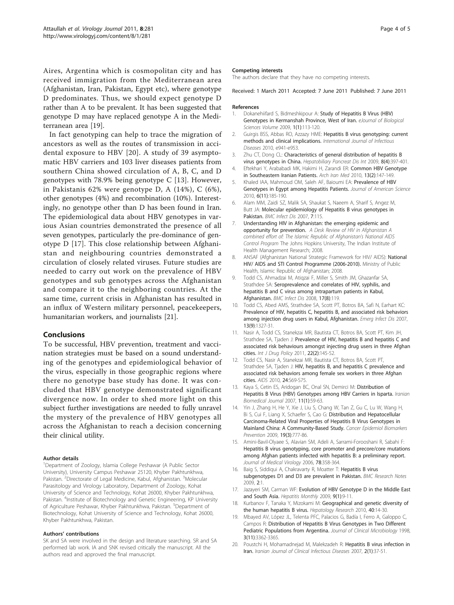<span id="page-3-0"></span>Aires, Argentina which is cosmopolitan city and has received immigration from the Mediterranean area (Afghanistan, Iran, Pakistan, Egypt etc), where genotype D predominates. Thus, we should expect genotype D rather than A to be prevalent. It has been suggested that genotype D may have replaced genotype A in the Mediterranean area [19].

In fact genotyping can help to trace the migration of ancestors as well as the routes of transmission in accidental exposure to HBV [20]. A study of 39 asymptomatic HBV carriers and 103 liver diseases patients from southern China showed circulation of A, B, C, and D genotypes with 78.9% being genotype C [13]. However, in Pakistanis 62% were genotype D, A (14%), C (6%), other genotypes (4%) and recombination (10%). Interestingly, no genotype other than D has been found in Iran. The epidemiological data about HBV genotypes in various Asian countries demonstrated the presence of all seven genotypes, particularly the pre-dominance of genotype D [17]. This close relationship between Afghanistan and neighbouring countries demonstrated a circulation of closely related viruses. Future studies are needed to carry out work on the prevalence of HBV genotypes and sub genotypes across the Afghanistan and compare it to the neighboring countries. At the same time, current crisis in Afghanistan has resulted in an influx of Western military personnel, peacekeepers, humanitarian workers, and journalists [[21](#page-4-0)].

### Conclusions

To be successful, HBV prevention, treatment and vaccination strategies must be based on a sound understanding of the genotypes and epidemiological behavior of the virus, especially in those geographic regions where there no genotype base study has done. It was concluded that HBV genotype demonstrated significant divergence now. In order to shed more light on this subject further investigations are needed to fully unravel the mystery of the prevalence of HBV genotypes all across the Afghanistan to reach a decision concerning their clinical utility.

### Author details

<sup>1</sup>Department of Zoology, Islamia College Peshawar (A Public Sector University), University Campus Peshawar 25120, Khyber Pakhtunkhwa, Pakistan. <sup>2</sup>Directorate of Legal Medicine, Kabul, Afghanistan. <sup>3</sup>Molecular Parasitology and Virology Laboratory, Department of Zoology, Kohat University of Science and Technology, Kohat 26000, Khyber Pakhtunkhwa, Pakistan. <sup>4</sup>Institute of Biotechnology and Genetic Engineering, KP University of Agriculture Peshawar, Khyber Pakhtunkhwa, Pakistan. <sup>5</sup>Department of Biotechnology, Kohat University of Science and Technology, Kohat 26000, Khyber Pakhtunkhwa, Pakistan.

### Authors' contributions

SK and SA were involved in the design and literature searching. SR and SA performed lab work. IA and SNK revised critically the manuscript. All the authors read and approved the final manuscript.

### Competing interests

The authors declare that they have no competing interests.

Received: 1 March 2011 Accepted: 7 June 2011 Published: 7 June 2011

### References

- 1. Dokanehiifard S, Bidmeshkipour A: Study of Hepatitis B Virus (HBV) Genotypes in Kermanshah Province, West of Iran. eJournal of Biological Sciences Volume 2009, 1(1):113-120.
- 2. Guirgis BSS, Abbas RO, Azzazy HME: Hepatitis B virus genotyping: current methods and clinical implications. International Journal of Infectious Diseases 2010, e941-e953.
- 3. Zhu CT, Dong CL: [Characteristics of general distribution of hepatitis B](http://www.ncbi.nlm.nih.gov/pubmed/19666409?dopt=Abstract) [virus genotypes in China.](http://www.ncbi.nlm.nih.gov/pubmed/19666409?dopt=Abstract) Hepatobiliary Pancreat Dis Int 2009, 8(4):397-401.
- 4. Eftekhari Y, Arababadi MK, Hakimi H, Zarandi ER: [Common HBV Genotype](http://www.ncbi.nlm.nih.gov/pubmed/20187670?dopt=Abstract) [in Southeastern Iranian Patients.](http://www.ncbi.nlm.nih.gov/pubmed/20187670?dopt=Abstract) Arch Iran Med 2010, 13(2):147-149.
- 5. Khaled IAA, Mahmoud OM, Saleh AF, Baioumi EA: Prevalence of HBV Genotypes in Egypt among Hepatitis Patients. Journal of American Science 2010, 6(11):185-190.
- 6. Alam MM, Zaidi SZ, Malik SA, Shaukat S, Naeem A, Sharif S, Angez M, Butt JA: [Molecular epidemiology of Hepatitis B virus genotypes in](http://www.ncbi.nlm.nih.gov/pubmed/17922910?dopt=Abstract) [Pakistan.](http://www.ncbi.nlm.nih.gov/pubmed/17922910?dopt=Abstract) BMC Infect Dis 2007, 7:115.
- 7. Understanding HIV in Afghanistan: the emerging epidemic and opportunity for prevention. A Desk Review of HIV in Afghanistan A combined effort of: The Islamic Republic of Afghanistan's National AIDS Control Program The Johns Hopkins University, The Indian Institute of Health Management Research; 2008.
- 8. ANSAF (Afghanistan National Strategic Framework for HIV/ AIDS): National HIV/ AIDS and STI Control Programme (2006-2010). Ministry of Public Health, Islamic Republic of Afghanistan; 2008.
- Todd CS, Ahmadzai M, Atiqzai F, Miller S, Smith JM, Ghazanfar SA Strathdee SA: Seroprevalence and correlates of HIV, syphilis, and hepatitis B and C virus among intrapartum patients in Kabul, Afghanistan. BMC Infect Dis 2008, 17(8):119.
- 10. Todd CS, Abed AMS, Strathdee SA, Scott PT, Botros BA, Safi N, Earhart KC: [Prevalence of HIV, hepatitis C, hepatitis B, and associated risk behaviors](http://www.ncbi.nlm.nih.gov/pubmed/18252103?dopt=Abstract) [among injection drug users in Kabul, Afghanistan.](http://www.ncbi.nlm.nih.gov/pubmed/18252103?dopt=Abstract) Emerg Infect Dis 2007, 13(9):1327-31.
- 11. Nasir A, Todd CS, Stanekzai MR, Bautista CT, Botros BA, Scott PT, Kim JH, Strathdee SA, Tiaden J: [Prevalence of HIV, hepatitis B and hepatitis C and](http://www.ncbi.nlm.nih.gov/pubmed/21146392?dopt=Abstract) [associated risk behaviours amongst injecting drug users in three Afghan](http://www.ncbi.nlm.nih.gov/pubmed/21146392?dopt=Abstract) [cities.](http://www.ncbi.nlm.nih.gov/pubmed/21146392?dopt=Abstract) Int J Drug Policy 2011, 22(2):145-52.
- 12. Todd CS, Nasir A, Stanekzai MR, Bautista CT, Botros BA, Scott PT, Strathdee SA, Tjaden J: [HIV, hepatitis B, and hepatitis C prevalence and](http://www.ncbi.nlm.nih.gov/pubmed/20610952?dopt=Abstract) [associated risk behaviors among female sex workers in three Afghan](http://www.ncbi.nlm.nih.gov/pubmed/20610952?dopt=Abstract) [cities.](http://www.ncbi.nlm.nih.gov/pubmed/20610952?dopt=Abstract) AIDS 2010, 24:S69-S75.
- 13. Kaya S, Cetin ES, Aridogan BC, Onal SN, Demirci M: [Distribution of](http://www.ncbi.nlm.nih.gov/pubmed/18051706?dopt=Abstract) [Hepatitis B Virus \(HBV\) Genotypes among HBV Carriers in Isparta.](http://www.ncbi.nlm.nih.gov/pubmed/18051706?dopt=Abstract) Iranian Biomedical Journal 2007, 11(1):59-63.
- 14. Yin J, Zhang H, He Y, Xie J, Liu S, Chang W, Tan Z, Gu C, Lu W, Wang H, Bi S, Cui F, Liang X, Schaefer S, Cao G: Distribution and Hepatocellular Carcinoma-Related Viral Properties of Hepatitis B Virus Genotypes in Mainland China: A Community-Based Study. Cancer Epidemiol Biomarkers Prevention 2009, 19(3):777-86.
- 15. Amini-Bavil-Olyaee S, Alavian SM, Adeli A, Sarrami-Forooshani R, Sabahi F: [Hepatitis B virus genotyping, core promoter and precore/core mutations](http://www.ncbi.nlm.nih.gov/pubmed/16419114?dopt=Abstract) [among Afghan patients infected with hepatitis B: a preliminary report.](http://www.ncbi.nlm.nih.gov/pubmed/16419114?dopt=Abstract) Journal of Medical Virology 2006, 78:358-364.
- 16. Baig S, Siddiqui A, Chakravarty R, Moatter T: [Hepatitis B virus](http://www.ncbi.nlm.nih.gov/pubmed/19121226?dopt=Abstract) [subgenotypes D1 and D3 are prevalent in Pakistan.](http://www.ncbi.nlm.nih.gov/pubmed/19121226?dopt=Abstract) BMC Research Notes 2009, 2:1.
- 17. Jazayeri SM, Carman WF: Evolution of HBV Genotype D in the Middle East and South Asia. Hepatitis Monthly 2009, 9(1):9-11.
- 18. Kurbanov F, Tanaka Y, Mizokami M: [Geographical and genetic diversity of](http://www.ncbi.nlm.nih.gov/pubmed/20156297?dopt=Abstract) [the human hepatitis B virus.](http://www.ncbi.nlm.nih.gov/pubmed/20156297?dopt=Abstract) Hepatology Research 2010, 40:14-30.
- 19. Mbayed AV, López JL, Telenta PFC, Palacios G, Badía I, Ferro A, Galoppo C, Campos R: Distribution of Hepatitis B Virus Genotypes in Two Different Pediatric Populations from Argentina. Journal of Clinical Microbiology 1998, 3(11):3362-3365.
- 20. Poustchi H, Mohamadnejad M, Malekzadeh R: Hepatitis B virus infection in Iran. Iranian Journal of Clinical Infectious Diseases 2007, 2(1):37-51.